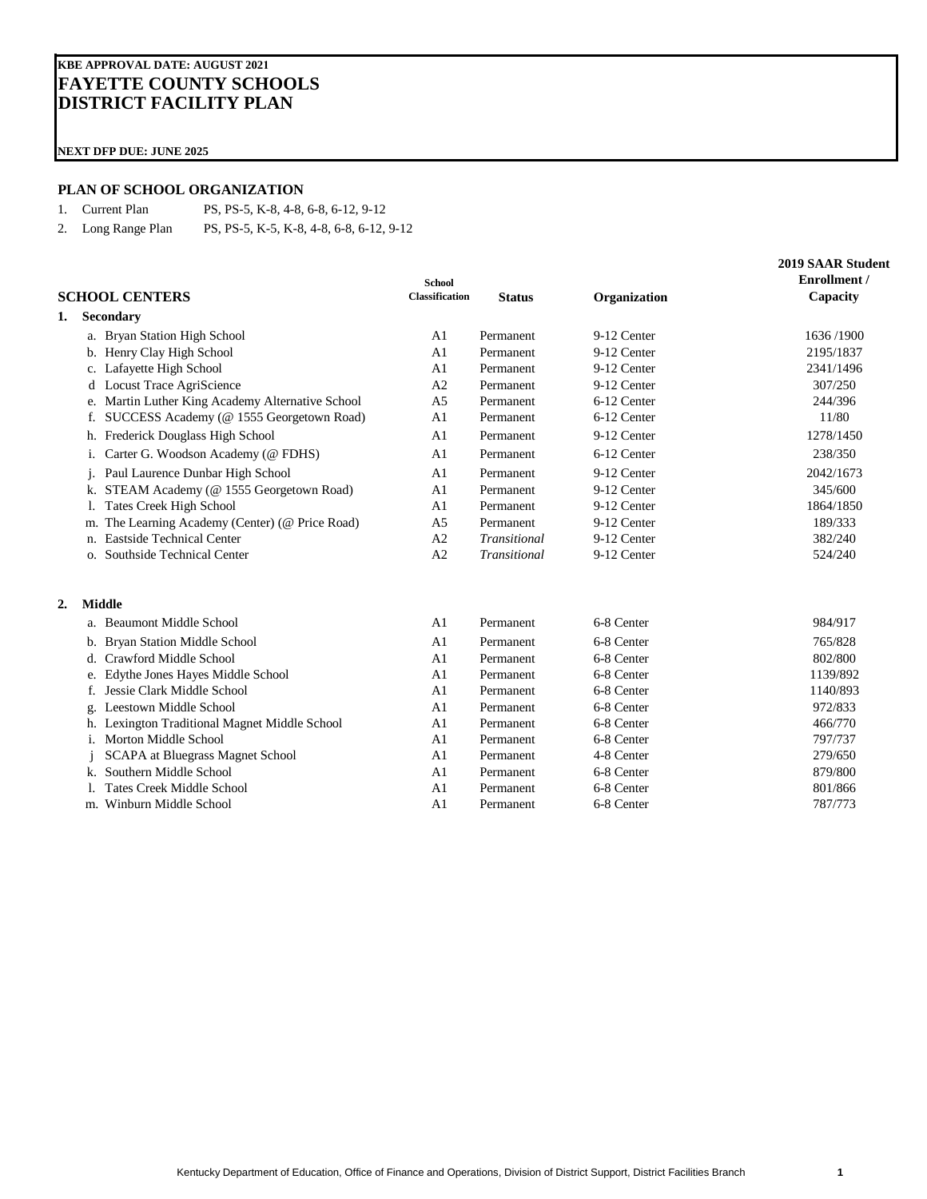## **KBE APPROVAL DATE: AUGUST 2021 FAYETTE COUNTY SCHOOLS DISTRICT FACILITY PLAN**

**NEXT DFP DUE: JUNE 2025**

### **PLAN OF SCHOOL ORGANIZATION**

1. Current Plan PS, PS-5, K-8, 4-8, 6-8, 6-12, 9-12

2. Long Range Plan PS, PS-5, K-5, K-8, 4-8, 6-8, 6-12, 9-12

|    |    | <b>SCHOOL CENTERS</b>                            | <b>School</b><br><b>Classification</b> | <b>Status</b> | Organization | <b>2019 SAAR Student</b><br>Enrollment /<br>Capacity |
|----|----|--------------------------------------------------|----------------------------------------|---------------|--------------|------------------------------------------------------|
| 1. |    | <b>Secondary</b>                                 |                                        |               |              |                                                      |
|    |    | a. Bryan Station High School                     | A <sub>1</sub>                         | Permanent     | 9-12 Center  | 1636/1900                                            |
|    |    | b. Henry Clay High School                        | A <sub>1</sub>                         | Permanent     | 9-12 Center  | 2195/1837                                            |
|    |    | c. Lafayette High School                         | A <sub>1</sub>                         | Permanent     | 9-12 Center  | 2341/1496                                            |
|    | d  | Locust Trace AgriScience                         | A2                                     | Permanent     | 9-12 Center  | 307/250                                              |
|    |    | e. Martin Luther King Academy Alternative School | A <sub>5</sub>                         | Permanent     | 6-12 Center  | 244/396                                              |
|    | f. | SUCCESS Academy (@ 1555 Georgetown Road)         | A <sub>1</sub>                         | Permanent     | 6-12 Center  | 11/80                                                |
|    |    | h. Frederick Douglass High School                | A <sub>1</sub>                         | Permanent     | 9-12 Center  | 1278/1450                                            |
|    | 1. | Carter G. Woodson Academy (@ FDHS)               | A <sub>1</sub>                         | Permanent     | 6-12 Center  | 238/350                                              |
|    |    | Paul Laurence Dunbar High School                 | A <sub>1</sub>                         | Permanent     | 9-12 Center  | 2042/1673                                            |
|    | k. | STEAM Academy (@ 1555 Georgetown Road)           | A <sub>1</sub>                         | Permanent     | 9-12 Center  | 345/600                                              |
|    | I. | <b>Tates Creek High School</b>                   | A <sub>1</sub>                         | Permanent     | 9-12 Center  | 1864/1850                                            |
|    | m. | The Learning Academy (Center) (@ Price Road)     | A <sub>5</sub>                         | Permanent     | 9-12 Center  | 189/333                                              |
|    | n. | <b>Eastside Technical Center</b>                 | A <sub>2</sub>                         | Transitional  | 9-12 Center  | 382/240                                              |
|    | О. | Southside Technical Center                       | A2                                     | Transitional  | 9-12 Center  | 524/240                                              |
| 2. |    | <b>Middle</b>                                    |                                        |               |              |                                                      |
|    |    | a. Beaumont Middle School                        | A <sub>1</sub>                         | Permanent     | 6-8 Center   | 984/917                                              |
|    |    | b. Bryan Station Middle School                   | A <sub>1</sub>                         | Permanent     | 6-8 Center   | 765/828                                              |
|    |    | d. Crawford Middle School                        | A <sub>1</sub>                         | Permanent     | 6-8 Center   | 802/800                                              |
|    | e. | Edythe Jones Hayes Middle School                 | A <sub>1</sub>                         | Permanent     | 6-8 Center   | 1139/892                                             |
|    |    | Jessie Clark Middle School                       | A <sub>1</sub>                         | Permanent     | 6-8 Center   | 1140/893                                             |
|    |    | Leestown Middle School                           | A <sub>1</sub>                         | Permanent     | 6-8 Center   | 972/833                                              |
|    |    | Lexington Traditional Magnet Middle School       | A <sub>1</sub>                         | Permanent     | 6-8 Center   | 466/770                                              |
|    | 1. | Morton Middle School                             | A <sub>1</sub>                         | Permanent     | 6-8 Center   | 797/737                                              |
|    |    | SCAPA at Bluegrass Magnet School                 | A <sub>1</sub>                         | Permanent     | 4-8 Center   | 279/650                                              |
|    | k. | Southern Middle School                           | A <sub>1</sub>                         | Permanent     | 6-8 Center   | 879/800                                              |
|    |    | <b>Tates Creek Middle School</b>                 | A <sub>1</sub>                         | Permanent     | 6-8 Center   | 801/866                                              |
|    |    | m. Winburn Middle School                         | A <sub>1</sub>                         | Permanent     | 6-8 Center   | 787/773                                              |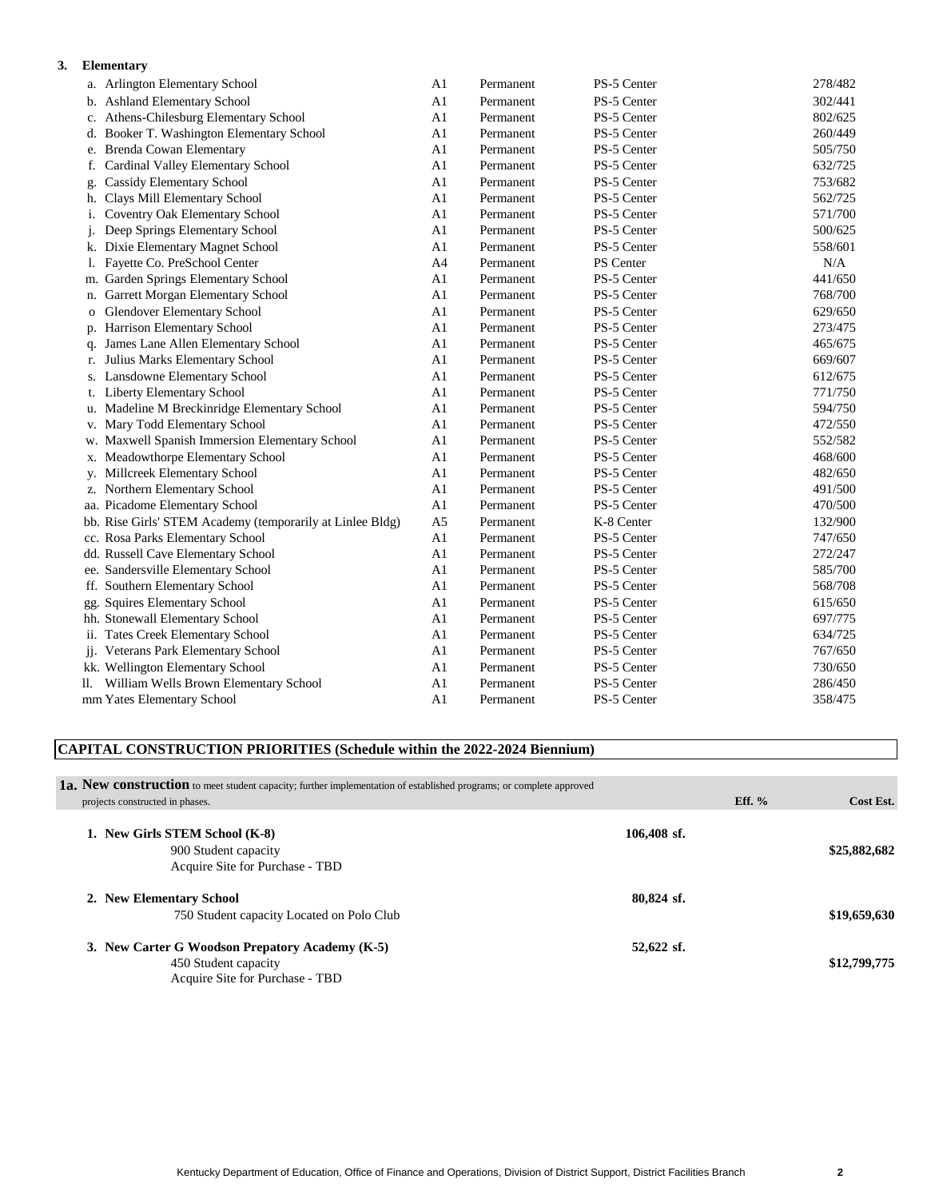### **3. Elementary**

|                | a. Arlington Elementary School                            | A <sub>1</sub> | Permanent | PS-5 Center | 278/482 |
|----------------|-----------------------------------------------------------|----------------|-----------|-------------|---------|
|                | b. Ashland Elementary School                              | A1             | Permanent | PS-5 Center | 302/441 |
| c.             | Athens-Chilesburg Elementary School                       | A <sub>1</sub> | Permanent | PS-5 Center | 802/625 |
|                | d. Booker T. Washington Elementary School                 | A <sub>1</sub> | Permanent | PS-5 Center | 260/449 |
| e.             | Brenda Cowan Elementary                                   | A1             | Permanent | PS-5 Center | 505/750 |
| f.             | Cardinal Valley Elementary School                         | A1             | Permanent | PS-5 Center | 632/725 |
| g.             | Cassidy Elementary School                                 | A1             | Permanent | PS-5 Center | 753/682 |
| h.             | Clays Mill Elementary School                              | A1             | Permanent | PS-5 Center | 562/725 |
| i.             | Coventry Oak Elementary School                            | A1             | Permanent | PS-5 Center | 571/700 |
| j.             | Deep Springs Elementary School                            | A <sub>1</sub> | Permanent | PS-5 Center | 500/625 |
|                | k. Dixie Elementary Magnet School                         | A1             | Permanent | PS-5 Center | 558/601 |
| 1.             | Fayette Co. PreSchool Center                              | A <sub>4</sub> | Permanent | PS Center   | N/A     |
| m.             | Garden Springs Elementary School                          | A1             | Permanent | PS-5 Center | 441/650 |
| n.             | Garrett Morgan Elementary School                          | A1             | Permanent | PS-5 Center | 768/700 |
| $\overline{O}$ | <b>Glendover Elementary School</b>                        | A1             | Permanent | PS-5 Center | 629/650 |
|                | p. Harrison Elementary School                             | A1             | Permanent | PS-5 Center | 273/475 |
| q.             | James Lane Allen Elementary School                        | A1             | Permanent | PS-5 Center | 465/675 |
| r.             | Julius Marks Elementary School                            | A1             | Permanent | PS-5 Center | 669/607 |
|                | s. Lansdowne Elementary School                            | A1             | Permanent | PS-5 Center | 612/675 |
|                | t. Liberty Elementary School                              | A1             | Permanent | PS-5 Center | 771/750 |
|                | u. Madeline M Breckinridge Elementary School              | A1             | Permanent | PS-5 Center | 594/750 |
|                | v. Mary Todd Elementary School                            | A1             | Permanent | PS-5 Center | 472/550 |
| w.             | Maxwell Spanish Immersion Elementary School               | A1             | Permanent | PS-5 Center | 552/582 |
| х.             | Meadowthorpe Elementary School                            | A <sub>1</sub> | Permanent | PS-5 Center | 468/600 |
| y.             | Millcreek Elementary School                               | A1             | Permanent | PS-5 Center | 482/650 |
|                | z. Northern Elementary School                             | A1             | Permanent | PS-5 Center | 491/500 |
|                | aa. Picadome Elementary School                            | A1             | Permanent | PS-5 Center | 470/500 |
|                | bb. Rise Girls' STEM Academy (temporarily at Linlee Bldg) | A <sub>5</sub> | Permanent | K-8 Center  | 132/900 |
|                | cc. Rosa Parks Elementary School                          | A1             | Permanent | PS-5 Center | 747/650 |
|                | dd. Russell Cave Elementary School                        | A1             | Permanent | PS-5 Center | 272/247 |
|                | ee. Sandersville Elementary School                        | A1             | Permanent | PS-5 Center | 585/700 |
|                | ff. Southern Elementary School                            | A1             | Permanent | PS-5 Center | 568/708 |
|                | gg. Squires Elementary School                             | A1             | Permanent | PS-5 Center | 615/650 |
|                | hh. Stonewall Elementary School                           | A1             | Permanent | PS-5 Center | 697/775 |
|                | ii. Tates Creek Elementary School                         | A1             | Permanent | PS-5 Center | 634/725 |
|                | jj. Veterans Park Elementary School                       | A1             | Permanent | PS-5 Center | 767/650 |
|                | kk. Wellington Elementary School                          | A1             | Permanent | PS-5 Center | 730/650 |
| 11.            | William Wells Brown Elementary School                     | A1             | Permanent | PS-5 Center | 286/450 |
|                | mm Yates Elementary School                                | A1             | Permanent | PS-5 Center | 358/475 |

### **CAPITAL CONSTRUCTION PRIORITIES (Schedule within the 2022-2024 Biennium)**

| <b>1a. New construction</b> to meet student capacity; further implementation of established programs; or complete approved<br>projects constructed in phases. |              | Eff. $%$ | Cost Est.    |
|---------------------------------------------------------------------------------------------------------------------------------------------------------------|--------------|----------|--------------|
| 1. New Girls STEM School (K-8)<br>900 Student capacity<br>Acquire Site for Purchase - TBD                                                                     | 106.408 sf.  |          | \$25,882,682 |
| 2. New Elementary School<br>750 Student capacity Located on Polo Club                                                                                         | $80.824$ sf. |          | \$19,659,630 |
| 3. New Carter G Woodson Prepatory Academy (K-5)<br>450 Student capacity<br>Acquire Site for Purchase - TBD                                                    | $52,622$ sf. |          | \$12,799,775 |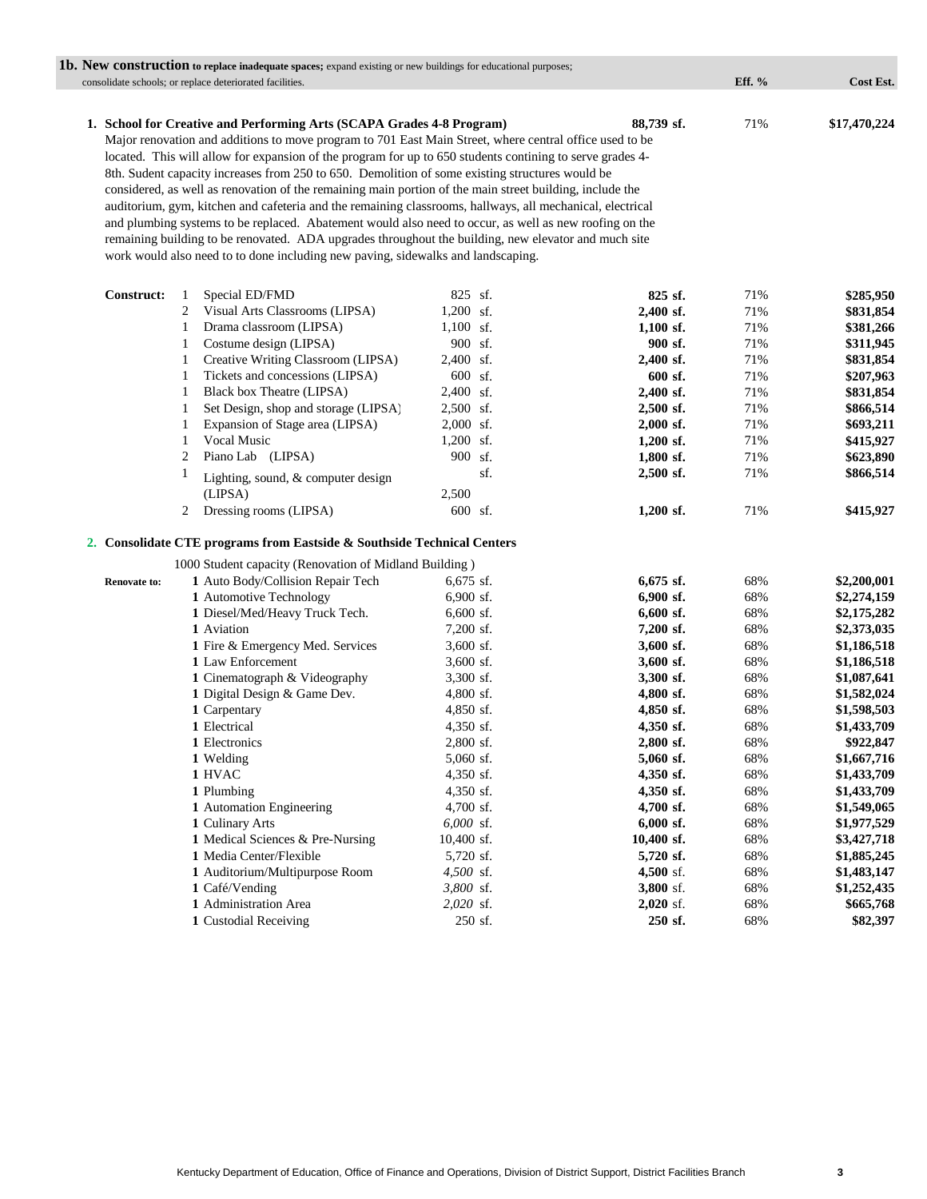|                     | <b>1b.</b> New construction to replace inadequate spaces; expand existing or new buildings for educational purposes;                                                                                                                                                                                                            |                        |              |        |              |
|---------------------|---------------------------------------------------------------------------------------------------------------------------------------------------------------------------------------------------------------------------------------------------------------------------------------------------------------------------------|------------------------|--------------|--------|--------------|
|                     | consolidate schools; or replace deteriorated facilities.                                                                                                                                                                                                                                                                        |                        |              | Eff. % | Cost Est.    |
|                     | 1. School for Creative and Performing Arts (SCAPA Grades 4-8 Program)<br>Major renovation and additions to move program to 701 East Main Street, where central office used to be                                                                                                                                                |                        | 88,739 sf.   | 71%    | \$17,470,224 |
|                     | located. This will allow for expansion of the program for up to 650 students contining to serve grades 4-<br>8th. Sudent capacity increases from 250 to 650. Demolition of some existing structures would be                                                                                                                    |                        |              |        |              |
|                     | considered, as well as renovation of the remaining main portion of the main street building, include the<br>auditorium, gym, kitchen and cafeteria and the remaining classrooms, hallways, all mechanical, electrical<br>and plumbing systems to be replaced. Abatement would also need to occur, as well as new roofing on the |                        |              |        |              |
|                     | remaining building to be renovated. ADA upgrades throughout the building, new elevator and much site<br>work would also need to to done including new paving, sidewalks and landscaping.                                                                                                                                        |                        |              |        |              |
|                     |                                                                                                                                                                                                                                                                                                                                 |                        |              |        |              |
| Construct:          | Special ED/FMD<br>1                                                                                                                                                                                                                                                                                                             | 825 sf.                | 825 sf.      | 71%    | \$285,950    |
|                     | Visual Arts Classrooms (LIPSA)<br>2                                                                                                                                                                                                                                                                                             | 1,200 sf.              | 2,400 sf.    | 71%    | \$831,854    |
|                     | Drama classroom (LIPSA)<br>$\mathbf{1}$                                                                                                                                                                                                                                                                                         | $1,100$ sf.            | $1,100$ sf.  | 71%    | \$381,266    |
|                     | Costume design (LIPSA)<br>$\mathbf{1}$                                                                                                                                                                                                                                                                                          | 900 sf.                | 900 sf.      | 71%    | \$311,945    |
|                     | Creative Writing Classroom (LIPSA)<br>$\mathbf{1}$                                                                                                                                                                                                                                                                              | 2,400 sf.              | 2,400 sf.    | 71%    | \$831,854    |
|                     | Tickets and concessions (LIPSA)<br>1                                                                                                                                                                                                                                                                                            | 600 sf.                | 600 sf.      | 71%    | \$207,963    |
|                     | Black box Theatre (LIPSA)<br>$\mathbf{1}$                                                                                                                                                                                                                                                                                       | 2,400 sf.              | 2,400 sf.    | 71%    | \$831,854    |
|                     | Set Design, shop and storage (LIPSA)<br>$\mathbf{1}$                                                                                                                                                                                                                                                                            | 2,500 sf.              | $2,500$ sf.  | 71%    | \$866,514    |
|                     | Expansion of Stage area (LIPSA)<br>1<br>Vocal Music                                                                                                                                                                                                                                                                             | 2,000 sf.              | $2,000$ sf.  | 71%    | \$693,211    |
|                     | 1                                                                                                                                                                                                                                                                                                                               | $1,200$ sf.<br>900 sf. | $1,200$ sf.  | 71%    | \$415,927    |
|                     | Piano Lab (LIPSA)<br>2                                                                                                                                                                                                                                                                                                          | sf.                    | $1,800$ sf.  | 71%    | \$623,890    |
|                     | 1<br>Lighting, sound, & computer design<br>(LIPSA)                                                                                                                                                                                                                                                                              | 2,500                  | 2,500 sf.    | 71%    | \$866,514    |
|                     | Dressing rooms (LIPSA)<br>2                                                                                                                                                                                                                                                                                                     | 600 sf.                | 1,200 sf.    | 71%    | \$415,927    |
|                     | 2. Consolidate CTE programs from Eastside & Southside Technical Centers                                                                                                                                                                                                                                                         |                        |              |        |              |
|                     | 1000 Student capacity (Renovation of Midland Building)                                                                                                                                                                                                                                                                          |                        |              |        |              |
| <b>Renovate to:</b> | 1 Auto Body/Collision Repair Tech                                                                                                                                                                                                                                                                                               | 6,675 sf.              | 6,675 sf.    | 68%    | \$2,200,001  |
|                     | 1 Automotive Technology                                                                                                                                                                                                                                                                                                         | $6,900$ sf.            | 6,900 sf.    | 68%    | \$2,274,159  |
|                     | 1 Diesel/Med/Heavy Truck Tech.                                                                                                                                                                                                                                                                                                  | $6,600$ sf.            | $6,600$ sf.  | 68%    | \$2,175,282  |
|                     | 1 Aviation                                                                                                                                                                                                                                                                                                                      | 7,200 sf.              | $7,200$ sf.  | 68%    | \$2,373,035  |
|                     | 1 Fire & Emergency Med. Services                                                                                                                                                                                                                                                                                                | $3,600$ sf.            | 3,600 sf.    | 68%    | \$1,186,518  |
|                     | 1 Law Enforcement                                                                                                                                                                                                                                                                                                               | $3,600$ sf.            | 3,600 sf.    | 68%    | \$1,186,518  |
|                     | 1 Cinematograph & Videography                                                                                                                                                                                                                                                                                                   | 3,300 sf.              | 3,300 sf.    | 68%    | \$1,087,641  |
|                     | 1 Digital Design & Game Dev.                                                                                                                                                                                                                                                                                                    | $4,800$ sf.            | 4,800 sf.    | 68%    | \$1,582,024  |
|                     | 1 Carpentary                                                                                                                                                                                                                                                                                                                    | 4,850 sf.              | 4,850 sf.    | 68%    | \$1,598,503  |
|                     | 1 Electrical                                                                                                                                                                                                                                                                                                                    | 4,350 sf.              | 4,350 sf.    | 68%    | \$1,433,709  |
|                     | 1 Electronics                                                                                                                                                                                                                                                                                                                   | 2,800 sf.              | 2,800 sf.    | 68%    | \$922,847    |
|                     | 1 Welding                                                                                                                                                                                                                                                                                                                       | 5,060 sf.              | 5,060 sf.    | 68%    | \$1,667,716  |
|                     | 1 HVAC                                                                                                                                                                                                                                                                                                                          | 4,350 sf.              | 4,350 sf.    | 68%    | \$1,433,709  |
|                     | 1 Plumbing                                                                                                                                                                                                                                                                                                                      | 4,350 sf.              | $4,350$ sf.  | 68%    | \$1,433,709  |
|                     | 1 Automation Engineering                                                                                                                                                                                                                                                                                                        | $4,700$ sf.            | 4,700 sf.    | 68%    | \$1,549,065  |
|                     | 1 Culinary Arts                                                                                                                                                                                                                                                                                                                 | 6,000 sf.              | $6,000$ sf.  | 68%    | \$1,977,529  |
|                     | 1 Medical Sciences & Pre-Nursing                                                                                                                                                                                                                                                                                                | 10,400 sf.             | $10,400$ sf. | 68%    | \$3,427,718  |
|                     | 1 Media Center/Flexible                                                                                                                                                                                                                                                                                                         | 5,720 sf.              | 5,720 sf.    | 68%    | \$1,885,245  |
|                     | 1 Auditorium/Multipurpose Room                                                                                                                                                                                                                                                                                                  | 4,500 sf.              | 4,500 sf.    | 68%    | \$1,483,147  |
|                     | 1 Café/Vending                                                                                                                                                                                                                                                                                                                  | 3,800 sf.              | 3,800 sf.    | 68%    | \$1,252,435  |
|                     | 1 Administration Area                                                                                                                                                                                                                                                                                                           | 2,020 sf.              | $2,020$ sf.  | 68%    | \$665,768    |
|                     | 1 Custodial Receiving                                                                                                                                                                                                                                                                                                           | 250 sf.                | 250 sf.      | 68%    | \$82,397     |
|                     |                                                                                                                                                                                                                                                                                                                                 |                        |              |        |              |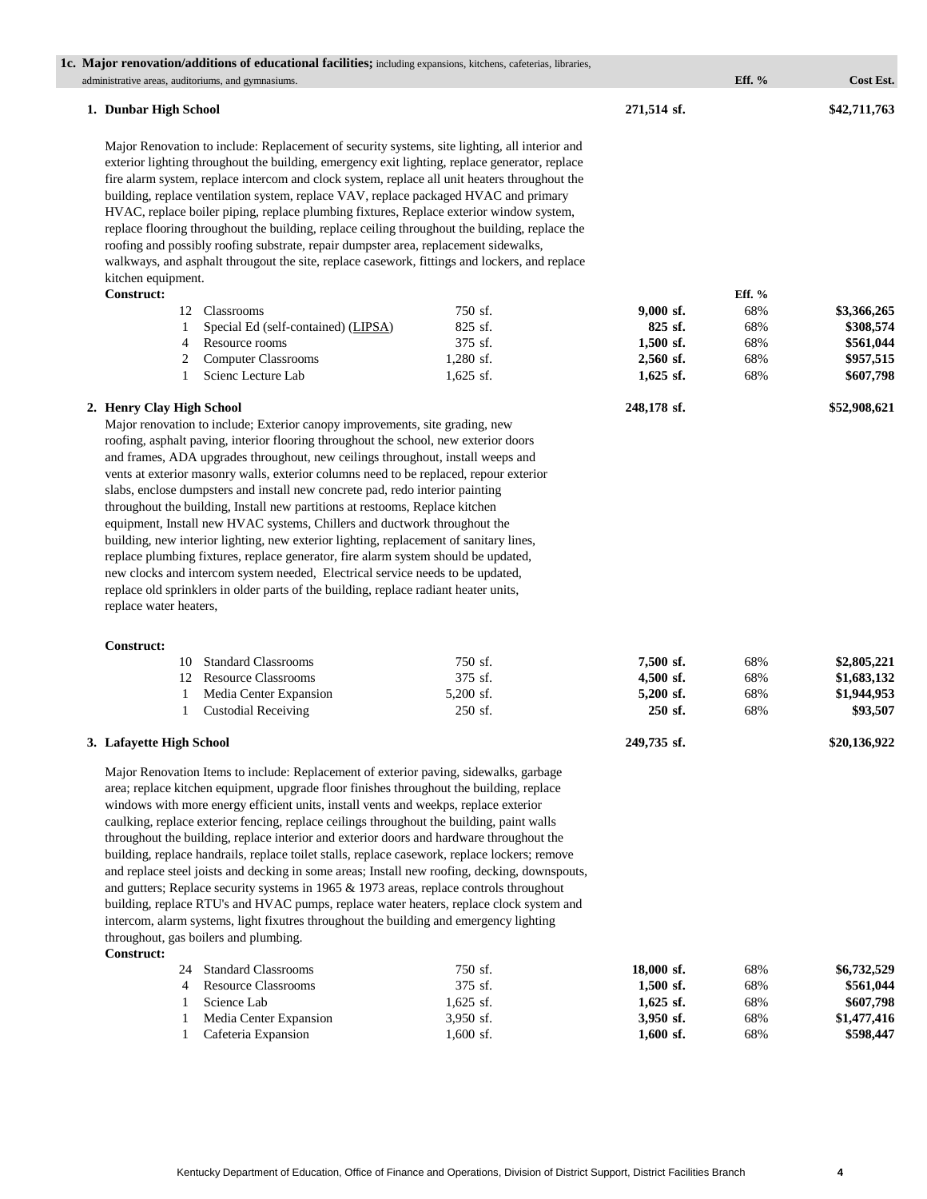|                                                                                   | 1c. Major renovation/additions of educational facilities; including expansions, kitchens, cafeterias, libraries,                                                                                                                                                                                                                                                                                                                                                                                                                                                                                                                                                                                                                                                                                                                                                                                                                                                                                                                                                          |                                            |                                                               |                          |                                                                       |
|-----------------------------------------------------------------------------------|---------------------------------------------------------------------------------------------------------------------------------------------------------------------------------------------------------------------------------------------------------------------------------------------------------------------------------------------------------------------------------------------------------------------------------------------------------------------------------------------------------------------------------------------------------------------------------------------------------------------------------------------------------------------------------------------------------------------------------------------------------------------------------------------------------------------------------------------------------------------------------------------------------------------------------------------------------------------------------------------------------------------------------------------------------------------------|--------------------------------------------|---------------------------------------------------------------|--------------------------|-----------------------------------------------------------------------|
|                                                                                   | administrative areas, auditoriums, and gymnasiums.                                                                                                                                                                                                                                                                                                                                                                                                                                                                                                                                                                                                                                                                                                                                                                                                                                                                                                                                                                                                                        |                                            |                                                               | Eff. %                   | Cost Est.                                                             |
| 1. Dunbar High School                                                             |                                                                                                                                                                                                                                                                                                                                                                                                                                                                                                                                                                                                                                                                                                                                                                                                                                                                                                                                                                                                                                                                           |                                            | 271,514 sf.                                                   |                          | \$42,711,763                                                          |
| kitchen equipment.                                                                | Major Renovation to include: Replacement of security systems, site lighting, all interior and<br>exterior lighting throughout the building, emergency exit lighting, replace generator, replace<br>fire alarm system, replace intercom and clock system, replace all unit heaters throughout the<br>building, replace ventilation system, replace VAV, replace packaged HVAC and primary<br>HVAC, replace boiler piping, replace plumbing fixtures, Replace exterior window system,<br>replace flooring throughout the building, replace ceiling throughout the building, replace the<br>roofing and possibly roofing substrate, repair dumpster area, replacement sidewalks,<br>walkways, and asphalt througout the site, replace casework, fittings and lockers, and replace                                                                                                                                                                                                                                                                                            |                                            |                                                               |                          |                                                                       |
| Construct:                                                                        |                                                                                                                                                                                                                                                                                                                                                                                                                                                                                                                                                                                                                                                                                                                                                                                                                                                                                                                                                                                                                                                                           |                                            |                                                               | Eff. %                   |                                                                       |
|                                                                                   | 12 Classrooms                                                                                                                                                                                                                                                                                                                                                                                                                                                                                                                                                                                                                                                                                                                                                                                                                                                                                                                                                                                                                                                             | 750 sf.                                    | 9,000 sf.                                                     | 68%                      | \$3,366,265                                                           |
| 1                                                                                 | Special Ed (self-contained) (LIPSA)                                                                                                                                                                                                                                                                                                                                                                                                                                                                                                                                                                                                                                                                                                                                                                                                                                                                                                                                                                                                                                       | 825 sf.                                    | 825 sf.                                                       | 68%                      | \$308,574                                                             |
| 4                                                                                 | Resource rooms                                                                                                                                                                                                                                                                                                                                                                                                                                                                                                                                                                                                                                                                                                                                                                                                                                                                                                                                                                                                                                                            | 375 sf.                                    | 1,500 sf.                                                     | 68%                      | \$561,044                                                             |
| 2                                                                                 | <b>Computer Classrooms</b>                                                                                                                                                                                                                                                                                                                                                                                                                                                                                                                                                                                                                                                                                                                                                                                                                                                                                                                                                                                                                                                | $1,280$ sf.                                | 2,560 sf.                                                     | 68%                      | \$957,515                                                             |
| 1                                                                                 | Scienc Lecture Lab                                                                                                                                                                                                                                                                                                                                                                                                                                                                                                                                                                                                                                                                                                                                                                                                                                                                                                                                                                                                                                                        | $1,625$ sf.                                | $1,625$ sf.                                                   | 68%                      | \$607,798                                                             |
| 2. Henry Clay High School<br>replace water heaters,<br>Construct:<br>10<br>1<br>1 | Major renovation to include; Exterior canopy improvements, site grading, new<br>roofing, asphalt paving, interior flooring throughout the school, new exterior doors<br>and frames, ADA upgrades throughout, new ceilings throughout, install weeps and<br>vents at exterior masonry walls, exterior columns need to be replaced, repour exterior<br>slabs, enclose dumpsters and install new concrete pad, redo interior painting<br>throughout the building, Install new partitions at restooms, Replace kitchen<br>equipment, Install new HVAC systems, Chillers and ductwork throughout the<br>building, new interior lighting, new exterior lighting, replacement of sanitary lines,<br>replace plumbing fixtures, replace generator, fire alarm system should be updated,<br>new clocks and intercom system needed, Electrical service needs to be updated,<br>replace old sprinklers in older parts of the building, replace radiant heater units,<br><b>Standard Classrooms</b><br>12 Resource Classrooms<br>Media Center Expansion<br><b>Custodial Receiving</b> | 750 sf.<br>375 sf.<br>5,200 sf.<br>250 sf. | 248,178 sf.<br>7,500 sf.<br>4,500 sf.<br>5,200 sf.<br>250 sf. | 68%<br>68%<br>68%<br>68% | \$52,908,621<br>\$2,805,221<br>\$1,683,132<br>\$1,944,953<br>\$93,507 |
| 3. Lafayette High School                                                          |                                                                                                                                                                                                                                                                                                                                                                                                                                                                                                                                                                                                                                                                                                                                                                                                                                                                                                                                                                                                                                                                           |                                            | 249,735 sf.                                                   |                          | \$20,136,922                                                          |
| <b>Construct:</b><br>24                                                           | Major Renovation Items to include: Replacement of exterior paving, sidewalks, garbage<br>area; replace kitchen equipment, upgrade floor finishes throughout the building, replace<br>windows with more energy efficient units, install vents and weekps, replace exterior<br>caulking, replace exterior fencing, replace ceilings throughout the building, paint walls<br>throughout the building, replace interior and exterior doors and hardware throughout the<br>building, replace handrails, replace toilet stalls, replace casework, replace lockers; remove<br>and replace steel joists and decking in some areas; Install new roofing, decking, downspouts,<br>and gutters; Replace security systems in 1965 & 1973 areas, replace controls throughout<br>building, replace RTU's and HVAC pumps, replace water heaters, replace clock system and<br>intercom, alarm systems, light fixutres throughout the building and emergency lighting<br>throughout, gas boilers and plumbing.<br><b>Standard Classrooms</b>                                               | 750 sf.                                    | 18,000 sf.                                                    | 68%                      | \$6,732,529                                                           |
| 4                                                                                 | <b>Resource Classrooms</b>                                                                                                                                                                                                                                                                                                                                                                                                                                                                                                                                                                                                                                                                                                                                                                                                                                                                                                                                                                                                                                                | 375 sf.                                    | $1,500$ sf.                                                   | 68%                      | \$561,044                                                             |
| 1                                                                                 | Science Lab                                                                                                                                                                                                                                                                                                                                                                                                                                                                                                                                                                                                                                                                                                                                                                                                                                                                                                                                                                                                                                                               | 1,625 sf.                                  | $1,625$ sf.                                                   | 68%                      | \$607,798                                                             |
| 1                                                                                 | Media Center Expansion                                                                                                                                                                                                                                                                                                                                                                                                                                                                                                                                                                                                                                                                                                                                                                                                                                                                                                                                                                                                                                                    | 3,950 sf.                                  | 3,950 sf.                                                     | 68%                      | \$1,477,416                                                           |
| 1                                                                                 | Cafeteria Expansion                                                                                                                                                                                                                                                                                                                                                                                                                                                                                                                                                                                                                                                                                                                                                                                                                                                                                                                                                                                                                                                       | $1,600$ sf.                                | $1,600$ sf.                                                   | 68%                      | \$598,447                                                             |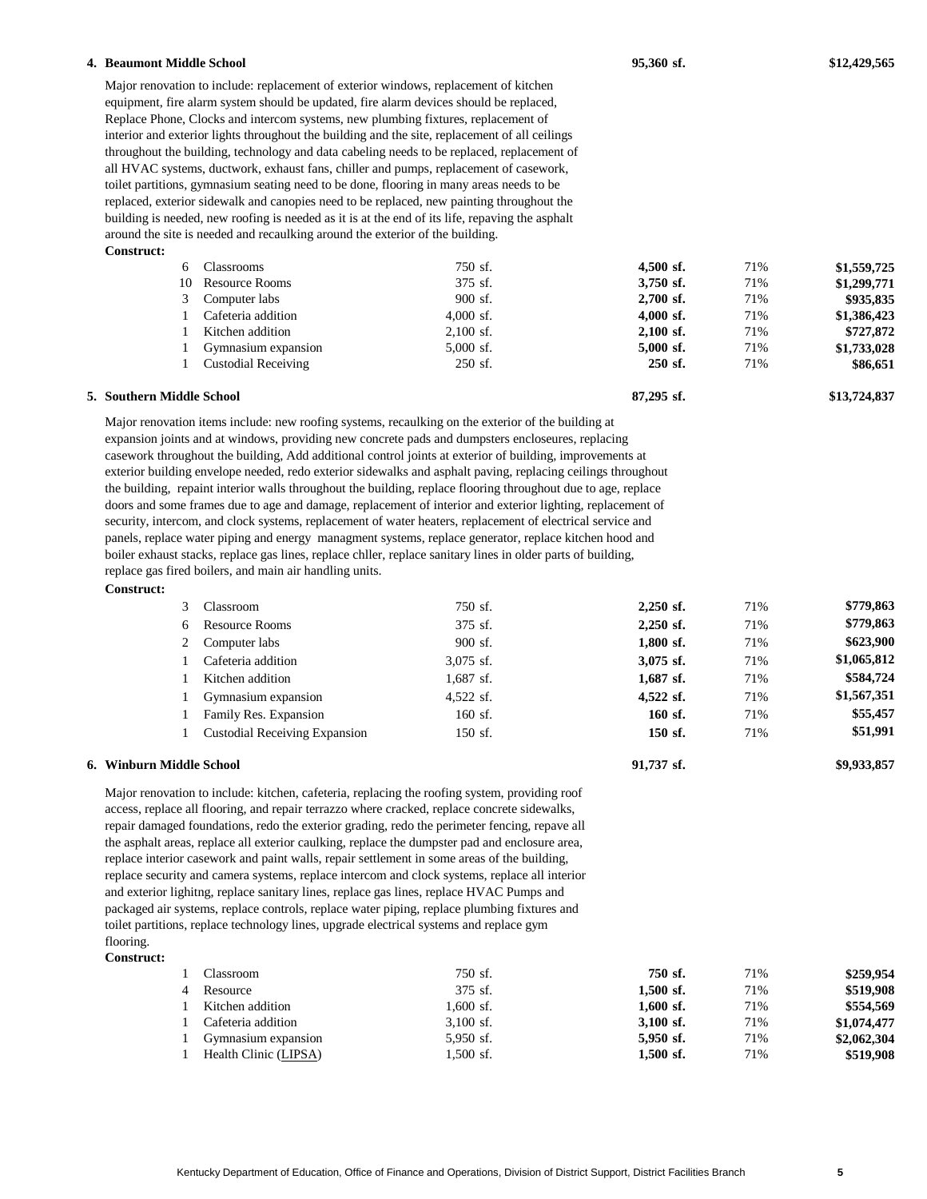| 4. Beaumont Middle School                                                                   |                                                                                                               |                    | 95,360 sf.             |            | \$12,429,565            |
|---------------------------------------------------------------------------------------------|---------------------------------------------------------------------------------------------------------------|--------------------|------------------------|------------|-------------------------|
|                                                                                             | Major renovation to include: replacement of exterior windows, replacement of kitchen                          |                    |                        |            |                         |
|                                                                                             | equipment, fire alarm system should be updated, fire alarm devices should be replaced,                        |                    |                        |            |                         |
|                                                                                             | Replace Phone, Clocks and intercom systems, new plumbing fixtures, replacement of                             |                    |                        |            |                         |
|                                                                                             | interior and exterior lights throughout the building and the site, replacement of all ceilings                |                    |                        |            |                         |
|                                                                                             | throughout the building, technology and data cabeling needs to be replaced, replacement of                    |                    |                        |            |                         |
|                                                                                             | all HVAC systems, ductwork, exhaust fans, chiller and pumps, replacement of casework,                         |                    |                        |            |                         |
|                                                                                             | toilet partitions, gymnasium seating need to be done, flooring in many areas needs to be                      |                    |                        |            |                         |
|                                                                                             | replaced, exterior sidewalk and canopies need to be replaced, new painting throughout the                     |                    |                        |            |                         |
|                                                                                             | building is needed, new roofing is needed as it is at the end of its life, repaving the asphalt               |                    |                        |            |                         |
|                                                                                             | around the site is needed and recaulking around the exterior of the building.                                 |                    |                        |            |                         |
| Construct:                                                                                  |                                                                                                               |                    |                        |            |                         |
| 6                                                                                           | Classrooms                                                                                                    | 750 sf.<br>375 sf. | 4,500 sf.              | 71%        | \$1,559,725             |
| 10                                                                                          | <b>Resource Rooms</b>                                                                                         | 900 sf.            | 3,750 sf.<br>2,700 sf. | 71%<br>71% | \$1,299,771             |
| 3<br>1                                                                                      | Computer labs<br>Cafeteria addition                                                                           | $4,000$ sf.        | 4,000 sf.              | 71%        | \$935,835               |
| 1                                                                                           | Kitchen addition                                                                                              | $2,100$ sf.        | $2,100$ sf.            | 71%        | \$1,386,423             |
| 1                                                                                           | Gymnasium expansion                                                                                           | 5,000 sf.          | 5,000 sf.              | 71%        | \$727,872               |
| 1                                                                                           | <b>Custodial Receiving</b>                                                                                    | 250 sf.            | 250 sf.                | 71%        | \$1,733,028<br>\$86,651 |
|                                                                                             |                                                                                                               |                    |                        |            |                         |
| 5. Southern Middle School                                                                   |                                                                                                               |                    | 87,295 sf.             |            | \$13,724,837            |
|                                                                                             | Major renovation items include: new roofing systems, recaulking on the exterior of the building at            |                    |                        |            |                         |
|                                                                                             | expansion joints and at windows, providing new concrete pads and dumpsters encloseures, replacing             |                    |                        |            |                         |
|                                                                                             | casework throughout the building, Add additional control joints at exterior of building, improvements at      |                    |                        |            |                         |
|                                                                                             | exterior building envelope needed, redo exterior sidewalks and asphalt paving, replacing ceilings throughout  |                    |                        |            |                         |
|                                                                                             | the building, repaint interior walls throughout the building, replace flooring throughout due to age, replace |                    |                        |            |                         |
|                                                                                             | doors and some frames due to age and damage, replacement of interior and exterior lighting, replacement of    |                    |                        |            |                         |
|                                                                                             | security, intercom, and clock systems, replacement of water heaters, replacement of electrical service and    |                    |                        |            |                         |
|                                                                                             | panels, replace water piping and energy managment systems, replace generator, replace kitchen hood and        |                    |                        |            |                         |
|                                                                                             | boiler exhaust stacks, replace gas lines, replace chller, replace sanitary lines in older parts of building,  |                    |                        |            |                         |
|                                                                                             | replace gas fired boilers, and main air handling units.                                                       |                    |                        |            |                         |
| Construct:                                                                                  |                                                                                                               |                    |                        |            |                         |
| 3                                                                                           | Classroom                                                                                                     | 750 sf.            | 2,250 sf.              | 71%        | \$779,863               |
| 6                                                                                           | <b>Resource Rooms</b>                                                                                         | 375 sf.            | 2,250 sf.              | 71%        | \$779,863               |
| 2                                                                                           | Computer labs                                                                                                 | 900 sf.            | 1,800 sf.              | 71%        | \$623,900               |
| 1                                                                                           | Cafeteria addition                                                                                            | $3,075$ sf.        | 3,075 sf.              | 71%        | \$1,065,812             |
| 1                                                                                           | Kitchen addition                                                                                              | $1,687$ sf.        | 1,687 sf.              | 71%        | \$584,724               |
| 1                                                                                           | Gymnasium expansion                                                                                           | 4,522 sf.          | 4,522 sf.              | 71%        | \$1,567,351             |
|                                                                                             |                                                                                                               | 160 sf.            | 160 sf.                | 71%        | \$55,457                |
| 1                                                                                           | Family Res. Expansion                                                                                         |                    |                        | 71%        | \$51,991                |
| 1                                                                                           | <b>Custodial Receiving Expansion</b>                                                                          | 150 sf.            | 150 sf.                |            |                         |
| 6. Winburn Middle School                                                                    |                                                                                                               |                    | 91,737 sf.             |            | \$9,933,857             |
|                                                                                             | Major renovation to include: kitchen, cafeteria, replacing the roofing system, providing roof                 |                    |                        |            |                         |
|                                                                                             | access, replace all flooring, and repair terrazzo where cracked, replace concrete sidewalks,                  |                    |                        |            |                         |
|                                                                                             | repair damaged foundations, redo the exterior grading, redo the perimeter fencing, repave all                 |                    |                        |            |                         |
|                                                                                             | the asphalt areas, replace all exterior caulking, replace the dumpster pad and enclosure area,                |                    |                        |            |                         |
| replace interior casework and paint walls, repair settlement in some areas of the building, |                                                                                                               |                    |                        |            |                         |
|                                                                                             |                                                                                                               |                    |                        |            |                         |
|                                                                                             |                                                                                                               |                    |                        |            |                         |
|                                                                                             | replace security and camera systems, replace intercom and clock systems, replace all interior                 |                    |                        |            |                         |
|                                                                                             | and exterior lighitng, replace sanitary lines, replace gas lines, replace HVAC Pumps and                      |                    |                        |            |                         |
|                                                                                             | packaged air systems, replace controls, replace water piping, replace plumbing fixtures and                   |                    |                        |            |                         |
|                                                                                             | toilet partitions, replace technology lines, upgrade electrical systems and replace gym                       |                    |                        |            |                         |
| flooring.<br>Construct:                                                                     |                                                                                                               |                    |                        |            |                         |

| Classroom             | 750 sf.     | 750 sf.     | 71% | \$259,954   |
|-----------------------|-------------|-------------|-----|-------------|
| Resource              | 375 sf.     | $1.500$ sf. | 71% | \$519,908   |
| Kitchen addition      | 1.600 sf.   | $1.600$ sf. | 71% | \$554,569   |
| Cafeteria addition    | $3.100$ sf. | $3,100$ sf. | 71% | \$1,074,477 |
| Gymnasium expansion   | 5.950 sf.   | 5.950 sf.   | 71% | \$2,062,304 |
| Health Clinic (LIPSA) | 1.500 sf.   | $1,500$ sf. | 71% | \$519,908   |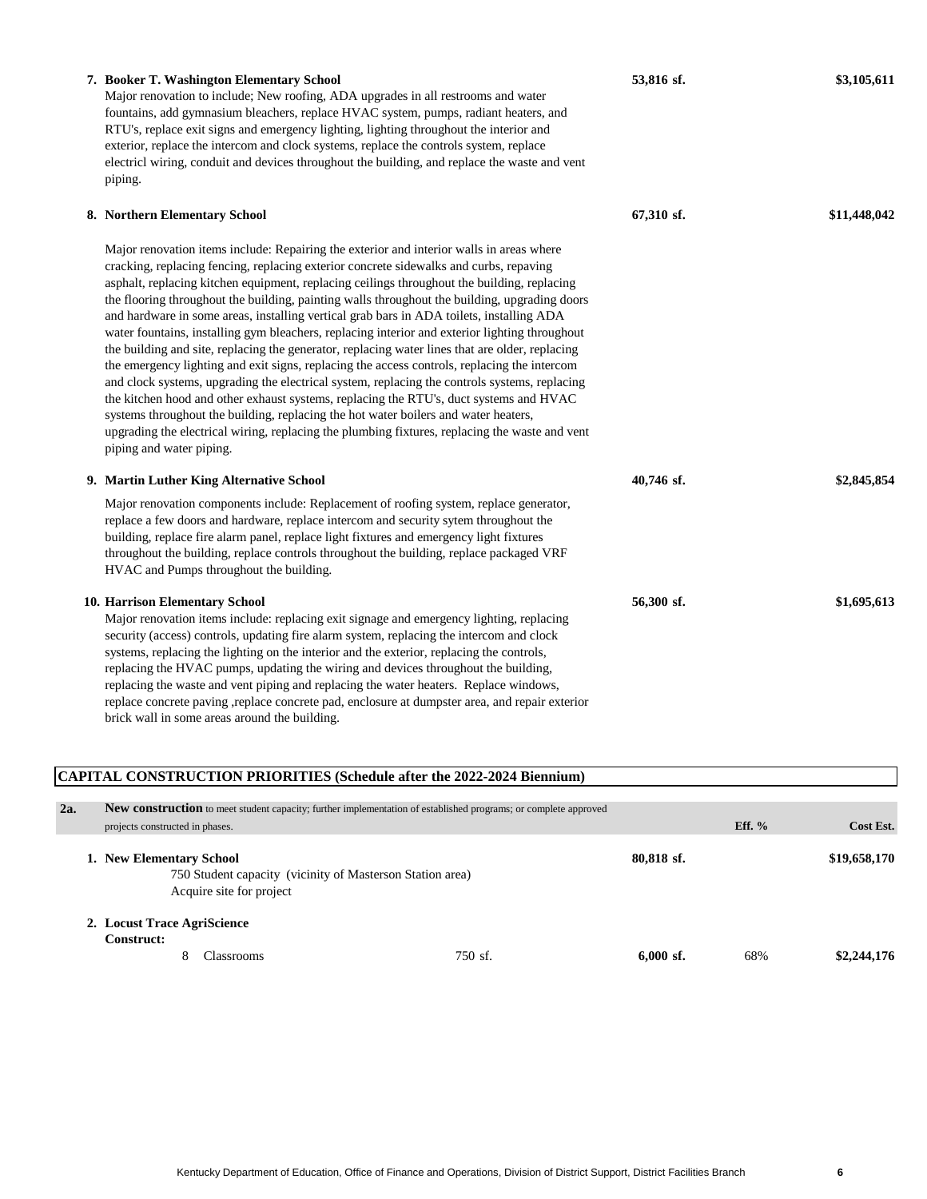| 7. Booker T. Washington Elementary School<br>Major renovation to include; New roofing, ADA upgrades in all restrooms and water<br>fountains, add gymnasium bleachers, replace HVAC system, pumps, radiant heaters, and<br>RTU's, replace exit signs and emergency lighting, lighting throughout the interior and<br>exterior, replace the intercom and clock systems, replace the controls system, replace<br>electricl wiring, conduit and devices throughout the building, and replace the waste and vent<br>piping.                                                                                                                                                                                                                                                                                                                                                                                                                                                                                                                                                                                                                                                                              | 53,816 sf. | \$3,105,611  |
|-----------------------------------------------------------------------------------------------------------------------------------------------------------------------------------------------------------------------------------------------------------------------------------------------------------------------------------------------------------------------------------------------------------------------------------------------------------------------------------------------------------------------------------------------------------------------------------------------------------------------------------------------------------------------------------------------------------------------------------------------------------------------------------------------------------------------------------------------------------------------------------------------------------------------------------------------------------------------------------------------------------------------------------------------------------------------------------------------------------------------------------------------------------------------------------------------------|------------|--------------|
| 8. Northern Elementary School                                                                                                                                                                                                                                                                                                                                                                                                                                                                                                                                                                                                                                                                                                                                                                                                                                                                                                                                                                                                                                                                                                                                                                       | 67,310 sf. | \$11,448,042 |
| Major renovation items include: Repairing the exterior and interior walls in areas where<br>cracking, replacing fencing, replacing exterior concrete sidewalks and curbs, repaving<br>asphalt, replacing kitchen equipment, replacing ceilings throughout the building, replacing<br>the flooring throughout the building, painting walls throughout the building, upgrading doors<br>and hardware in some areas, installing vertical grab bars in ADA toilets, installing ADA<br>water fountains, installing gym bleachers, replacing interior and exterior lighting throughout<br>the building and site, replacing the generator, replacing water lines that are older, replacing<br>the emergency lighting and exit signs, replacing the access controls, replacing the intercom<br>and clock systems, upgrading the electrical system, replacing the controls systems, replacing<br>the kitchen hood and other exhaust systems, replacing the RTU's, duct systems and HVAC<br>systems throughout the building, replacing the hot water boilers and water heaters,<br>upgrading the electrical wiring, replacing the plumbing fixtures, replacing the waste and vent<br>piping and water piping. |            |              |
| 9. Martin Luther King Alternative School                                                                                                                                                                                                                                                                                                                                                                                                                                                                                                                                                                                                                                                                                                                                                                                                                                                                                                                                                                                                                                                                                                                                                            | 40,746 sf. | \$2,845,854  |
| Major renovation components include: Replacement of roofing system, replace generator,<br>replace a few doors and hardware, replace intercom and security sytem throughout the<br>building, replace fire alarm panel, replace light fixtures and emergency light fixtures<br>throughout the building, replace controls throughout the building, replace packaged VRF<br>HVAC and Pumps throughout the building.                                                                                                                                                                                                                                                                                                                                                                                                                                                                                                                                                                                                                                                                                                                                                                                     |            |              |
| <b>10. Harrison Elementary School</b><br>Major renovation items include: replacing exit signage and emergency lighting, replacing<br>security (access) controls, updating fire alarm system, replacing the intercom and clock<br>systems, replacing the lighting on the interior and the exterior, replacing the controls,<br>replacing the HVAC pumps, updating the wiring and devices throughout the building,<br>replacing the waste and vent piping and replacing the water heaters. Replace windows,<br>replace concrete paving ,replace concrete pad, enclosure at dumpster area, and repair exterior<br>brick wall in some areas around the building.                                                                                                                                                                                                                                                                                                                                                                                                                                                                                                                                        | 56,300 sf. | \$1,695,613  |

# **CAPITAL CONSTRUCTION PRIORITIES (Schedule after the 2022-2024 Biennium) 2a. New construction** to meet student capacity; further implementation of established programs; or complete approved projects constructed in phases. **Eff. % Cost Est. 1. New Elementary School 80,818 sf. \$19,658,170** 750 Student capacity (vicinity of Masterson Station area) Acquire site for project **2. Locust Trace AgriScience Construct:** 8 Classrooms 750 sf. **6,000 sf.** 68% **\$2,244,176**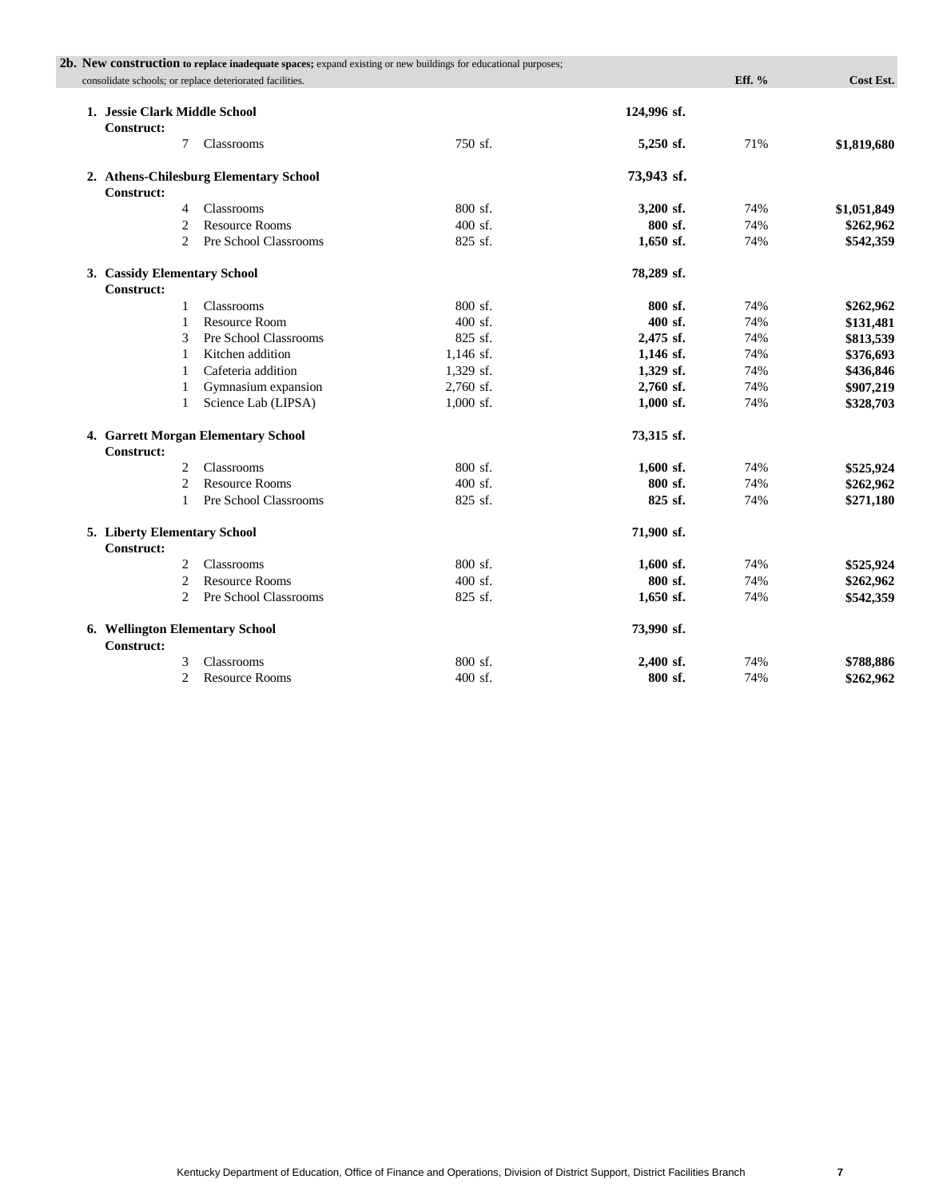|                                                      | 2b. New construction to replace inadequate spaces; expand existing or new buildings for educational purposes; |             |             |          |             |
|------------------------------------------------------|---------------------------------------------------------------------------------------------------------------|-------------|-------------|----------|-------------|
|                                                      | consolidate schools; or replace deteriorated facilities.                                                      |             |             | Eff. $%$ | Cost Est.   |
| 1. Jessie Clark Middle School<br>Construct:          |                                                                                                               |             | 124,996 sf. |          |             |
| 7                                                    | Classrooms                                                                                                    | 750 sf.     | 5,250 sf.   | 71%      | \$1,819,680 |
| <b>Construct:</b>                                    | 2. Athens-Chilesburg Elementary School                                                                        |             | 73,943 sf.  |          |             |
| 4                                                    | Classrooms                                                                                                    | 800 sf.     | 3,200 sf.   | 74%      | \$1,051,849 |
| $\overline{2}$                                       | <b>Resource Rooms</b>                                                                                         | $400$ sf.   | 800 sf.     | 74%      | \$262,962   |
| $\overline{2}$                                       | Pre School Classrooms                                                                                         | 825 sf.     | $1,650$ sf. | 74%      | \$542,359   |
| 3. Cassidy Elementary School<br><b>Construct:</b>    |                                                                                                               |             | 78,289 sf.  |          |             |
| $\mathbf{1}$                                         | Classrooms                                                                                                    | 800 sf.     | 800 sf.     | 74%      | \$262,962   |
| 1                                                    | <b>Resource Room</b>                                                                                          | 400 sf.     | 400 sf.     | 74%      | \$131,481   |
| 3                                                    | Pre School Classrooms                                                                                         | 825 sf.     | 2,475 sf.   | 74%      | \$813,539   |
| 1                                                    | Kitchen addition                                                                                              | $1,146$ sf. | $1,146$ sf. | 74%      | \$376,693   |
| 1                                                    | Cafeteria addition                                                                                            | 1,329 sf.   | 1,329 sf.   | 74%      | \$436,846   |
| 1                                                    | Gymnasium expansion                                                                                           | 2,760 sf.   | 2,760 sf.   | 74%      | \$907,219   |
| 1                                                    | Science Lab (LIPSA)                                                                                           | 1,000 sf.   | $1,000$ sf. | 74%      | \$328,703   |
| <b>Construct:</b>                                    | 4. Garrett Morgan Elementary School                                                                           |             | 73,315 sf.  |          |             |
| $\overline{2}$                                       | Classrooms                                                                                                    | 800 sf.     | $1,600$ sf. | 74%      | \$525,924   |
| $\mathfrak{D}$                                       | <b>Resource Rooms</b>                                                                                         | $400$ sf.   | 800 sf.     | 74%      | \$262,962   |
| $\mathbf{1}$                                         | Pre School Classrooms                                                                                         | 825 sf.     | 825 sf.     | 74%      | \$271,180   |
| 5. Liberty Elementary School<br><b>Construct:</b>    |                                                                                                               |             | 71,900 sf.  |          |             |
| 2                                                    | Classrooms                                                                                                    | 800 sf.     | $1,600$ sf. | 74%      | \$525,924   |
| $\overline{c}$                                       | <b>Resource Rooms</b>                                                                                         | $400$ sf.   | 800 sf.     | 74%      | \$262,962   |
| 2                                                    | Pre School Classrooms                                                                                         | 825 sf.     | $1,650$ sf. | 74%      | \$542,359   |
| 6. Wellington Elementary School<br><b>Construct:</b> |                                                                                                               |             | 73,990 sf.  |          |             |
| 3                                                    | Classrooms                                                                                                    | 800 sf.     | 2,400 sf.   | 74%      | \$788,886   |
| $\overline{c}$                                       | <b>Resource Rooms</b>                                                                                         | $400$ sf.   | 800 sf.     | 74%      |             |
|                                                      |                                                                                                               |             |             |          | \$262,962   |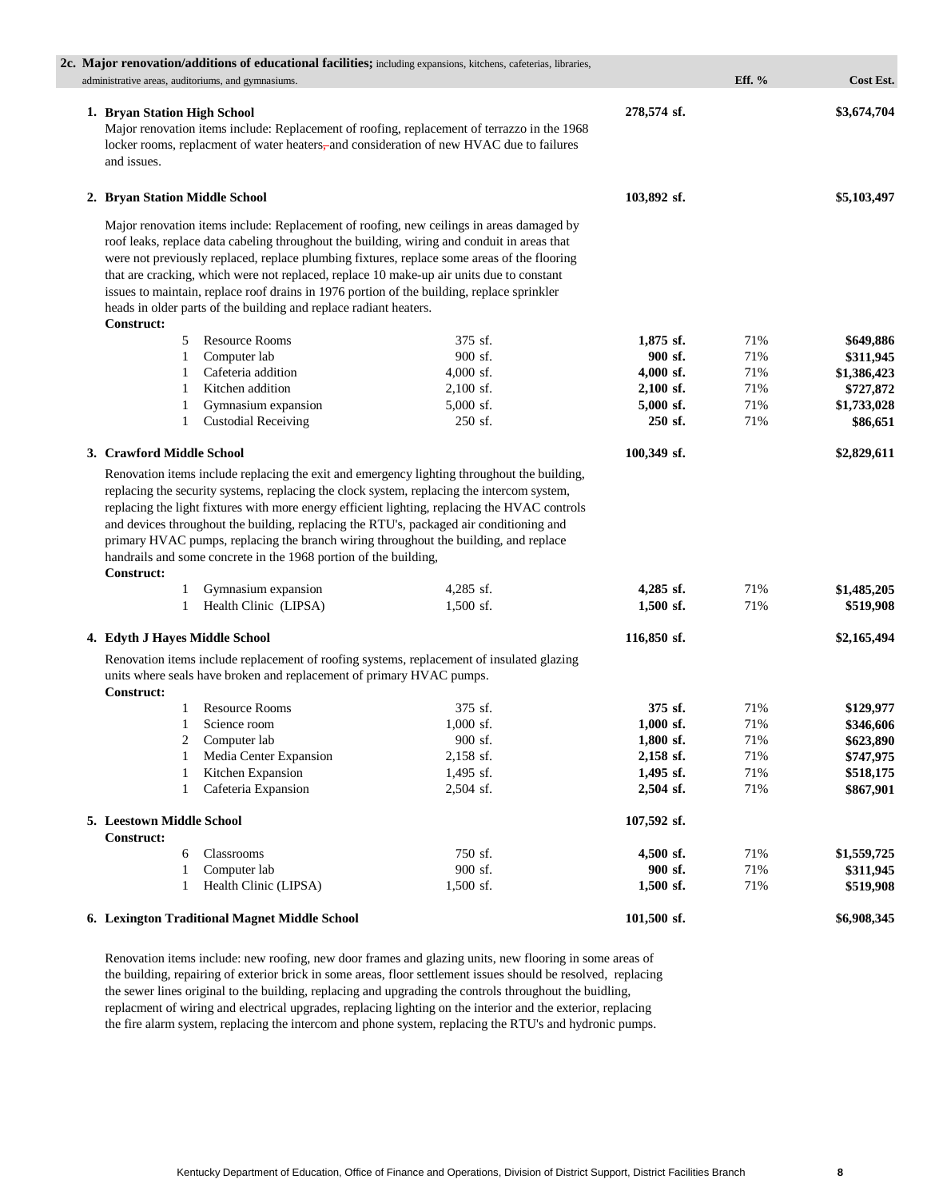| 2c. Major renovation/additions of educational facilities; including expansions, kitchens, cafeterias, libraries,<br>administrative areas, auditoriums, and gymnasiums.                                                                                                                                                                                                                                                                                                                                                                                              |                          |                            | Eff. $%$   | Cost Est.                |
|---------------------------------------------------------------------------------------------------------------------------------------------------------------------------------------------------------------------------------------------------------------------------------------------------------------------------------------------------------------------------------------------------------------------------------------------------------------------------------------------------------------------------------------------------------------------|--------------------------|----------------------------|------------|--------------------------|
| 1. Bryan Station High School<br>Major renovation items include: Replacement of roofing, replacement of terrazzo in the 1968<br>locker rooms, replacment of water heaters, and consideration of new HVAC due to failures<br>and issues.                                                                                                                                                                                                                                                                                                                              |                          | 278,574 sf.                |            | \$3,674,704              |
| 2. Bryan Station Middle School                                                                                                                                                                                                                                                                                                                                                                                                                                                                                                                                      |                          | 103,892 sf.                |            | \$5,103,497              |
| Major renovation items include: Replacement of roofing, new ceilings in areas damaged by<br>roof leaks, replace data cabeling throughout the building, wiring and conduit in areas that<br>were not previously replaced, replace plumbing fixtures, replace some areas of the flooring<br>that are cracking, which were not replaced, replace 10 make-up air units due to constant<br>issues to maintain, replace roof drains in 1976 portion of the building, replace sprinkler<br>heads in older parts of the building and replace radiant heaters.<br>Construct: |                          |                            |            |                          |
| <b>Resource Rooms</b><br>5                                                                                                                                                                                                                                                                                                                                                                                                                                                                                                                                          | 375 sf.                  | $1,875$ sf.                | 71%        | \$649,886                |
| Computer lab<br>1                                                                                                                                                                                                                                                                                                                                                                                                                                                                                                                                                   | 900 sf.                  | 900 sf.                    | 71%        | \$311,945                |
| Cafeteria addition<br>1                                                                                                                                                                                                                                                                                                                                                                                                                                                                                                                                             | $4,000$ sf.              | $4,000$ sf.                | 71%        | \$1,386,423              |
| Kitchen addition<br>1                                                                                                                                                                                                                                                                                                                                                                                                                                                                                                                                               | $2,100$ sf.              | $2,100$ sf.                | 71%        | \$727,872                |
| Gymnasium expansion<br>1                                                                                                                                                                                                                                                                                                                                                                                                                                                                                                                                            | $5,000$ sf.              | $5,000$ sf.                | 71%        | \$1,733,028              |
| <b>Custodial Receiving</b><br>1                                                                                                                                                                                                                                                                                                                                                                                                                                                                                                                                     | 250 sf.                  | 250 sf.                    | 71%        | \$86,651                 |
| 3. Crawford Middle School                                                                                                                                                                                                                                                                                                                                                                                                                                                                                                                                           |                          | 100,349 sf.                |            | \$2,829,611              |
| replacing the light fixtures with more energy efficient lighting, replacing the HVAC controls<br>and devices throughout the building, replacing the RTU's, packaged air conditioning and<br>primary HVAC pumps, replacing the branch wiring throughout the building, and replace<br>handrails and some concrete in the 1968 portion of the building,<br><b>Construct:</b>                                                                                                                                                                                           |                          |                            |            |                          |
| Gymnasium expansion<br>1<br>Health Clinic (LIPSA)<br>1                                                                                                                                                                                                                                                                                                                                                                                                                                                                                                              | $4,285$ sf.<br>1,500 sf. | $4,285$ sf.<br>$1,500$ sf. | 71%<br>71% | \$1,485,205<br>\$519,908 |
|                                                                                                                                                                                                                                                                                                                                                                                                                                                                                                                                                                     |                          |                            |            |                          |
| 4. Edyth J Hayes Middle School                                                                                                                                                                                                                                                                                                                                                                                                                                                                                                                                      |                          | 116,850 sf.                |            | \$2,165,494              |
| Renovation items include replacement of roofing systems, replacement of insulated glazing<br>units where seals have broken and replacement of primary HVAC pumps.<br><b>Construct:</b>                                                                                                                                                                                                                                                                                                                                                                              |                          |                            |            |                          |
| <b>Resource Rooms</b><br>1                                                                                                                                                                                                                                                                                                                                                                                                                                                                                                                                          | 375 sf.                  | 375 sf.                    | 71%        | \$129,977                |
| 1<br>Science room                                                                                                                                                                                                                                                                                                                                                                                                                                                                                                                                                   | $1,000$ sf.              | $1,000$ sf.                | 71%        | \$346,606                |
| Computer lab<br>2                                                                                                                                                                                                                                                                                                                                                                                                                                                                                                                                                   | 900 sf.                  | 1,800 sf.                  | 71%        | \$623,890                |
| Media Center Expansion<br>1                                                                                                                                                                                                                                                                                                                                                                                                                                                                                                                                         | 2,158 sf.                | 2,158 sf.                  | 71%        | \$747,975                |
| Kitchen Expansion<br>1                                                                                                                                                                                                                                                                                                                                                                                                                                                                                                                                              | 1,495 sf.                | 1,495 sf.                  | 71%        | \$518,175                |
| Cafeteria Expansion<br>1                                                                                                                                                                                                                                                                                                                                                                                                                                                                                                                                            | 2,504 sf.                | 2,504 sf.                  | 71%        | \$867,901                |
| 5. Leestown Middle School<br><b>Construct:</b>                                                                                                                                                                                                                                                                                                                                                                                                                                                                                                                      |                          | 107,592 sf.                |            |                          |
| Classrooms<br>6                                                                                                                                                                                                                                                                                                                                                                                                                                                                                                                                                     | 750 sf.                  | 4,500 sf.                  | 71%        | \$1,559,725              |
| Computer lab<br>1                                                                                                                                                                                                                                                                                                                                                                                                                                                                                                                                                   | 900 sf.                  | 900 sf.                    | 71%        | \$311,945                |
| Health Clinic (LIPSA)<br>1                                                                                                                                                                                                                                                                                                                                                                                                                                                                                                                                          | 1,500 sf.                | 1,500 sf.                  | 71%        | \$519,908                |
| 6. Lexington Traditional Magnet Middle School                                                                                                                                                                                                                                                                                                                                                                                                                                                                                                                       |                          | 101,500 sf.                |            | \$6,908,345              |

Renovation items include: new roofing, new door frames and glazing units, new flooring in some areas of the building, repairing of exterior brick in some areas, floor settlement issues should be resolved, replacing the sewer lines original to the building, replacing and upgrading the controls throughout the buidling, replacment of wiring and electrical upgrades, replacing lighting on the interior and the exterior, replacing the fire alarm system, replacing the intercom and phone system, replacing the RTU's and hydronic pumps.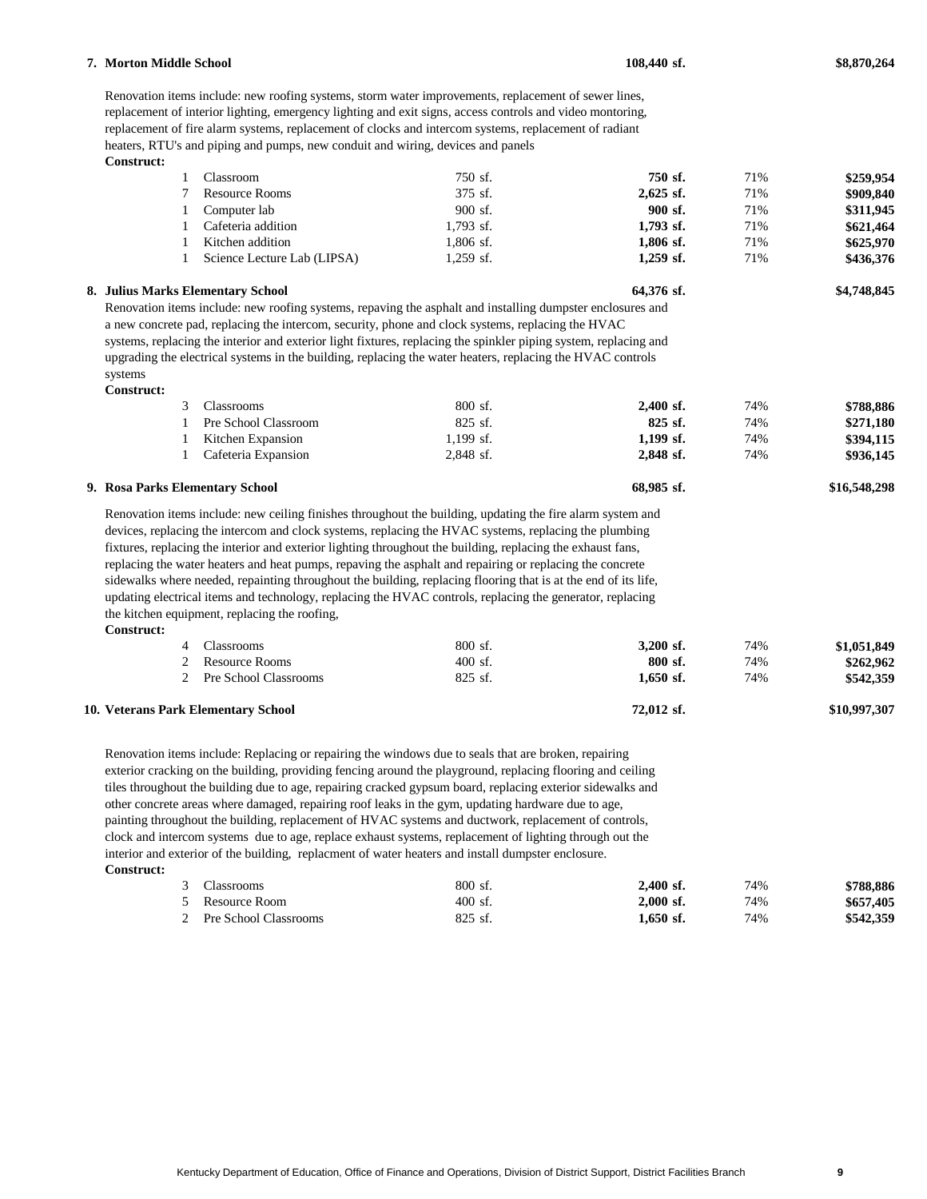# 3 Classrooms 800 sf. **2,400 sf.** 74% **\$788,886** 1 Pre School Classroom 825 sf. **825 sf.** 74% **\$271,180** 1 Kitchen Expansion 1,199 sf. **1,199 sf.** 74% **\$394,115** 1 Cafeteria Expansion 2,848 sf. **2,848 sf.** 74% **\$936,145 9. Rosa Parks Elementary School 68,985 sf. \$16,548,298 Construct:** 4 Classrooms 800 sf. **3,200 sf.** 74% **\$1,051,849** 2 Resource Rooms 400 sf. **800 sf.** 74% **\$262,962** 2 Pre School Classrooms 825 sf. **1,650 sf.** 74% **\$542,359 10. Veterans Park Elementary School 72,012 sf. \$10,997,307 Construct:** 3 Classrooms 800 sf. **2,400 sf.** 74% **\$788,886** 5 Resource Room 400 sf. **2,000 sf.** 74% **\$657,405** 2 Pre School Classrooms 825 sf. **1,650 sf.** 74% **\$542,359** Renovation items include: new ceiling finishes throughout the building, updating the fire alarm system and devices, replacing the intercom and clock systems, replacing the HVAC systems, replacing the plumbing fixtures, replacing the interior and exterior lighting throughout the building, replacing the exhaust fans, replacing the water heaters and heat pumps, repaving the asphalt and repairing or replacing the concrete sidewalks where needed, repainting throughout the building, replacing flooring that is at the end of its life, updating electrical items and technology, replacing the HVAC controls, replacing the generator, replacing the kitchen equipment, replacing the roofing, Renovation items include: Replacing or repairing the windows due to seals that are broken, repairing exterior cracking on the building, providing fencing around the playground, replacing flooring and ceiling tiles throughout the building due to age, repairing cracked gypsum board, replacing exterior sidewalks and other concrete areas where damaged, repairing roof leaks in the gym, updating hardware due to age, painting throughout the building, replacement of HVAC systems and ductwork, replacement of controls, clock and intercom systems due to age, replace exhaust systems, replacement of lighting through out the interior and exterior of the building, replacment of water heaters and install dumpster enclosure.

# **Construct:**

| Classroom                   | 750 sf.     | 750 sf.     | 71% | \$259,954 |
|-----------------------------|-------------|-------------|-----|-----------|
| Resource Rooms              | 375 sf.     | $2.625$ sf. | 71% | \$909,840 |
| Computer lab                | $900$ sf.   | $900$ sf.   | 71% | \$311,945 |
| Cafeteria addition          | $1.793$ sf. | $1,793$ sf. | 71% | \$621,464 |
| Kitchen addition            | 1.806 sf.   | 1.806 sf.   | 71% | \$625,970 |
| Science Lecture Lab (LIPSA) | 1.259 sf.   | $1.259$ sf. | 71% | \$436,376 |
|                             |             |             |     |           |

**8. Julius Marks Elementary School 64,376 sf. \$4,748,845**

### Renovation items include: new roofing systems, storm water improvements, replacement of sewer lines, replacement of interior lighting, emergency lighting and exit signs, access controls and video montoring, replacement of fire alarm systems, replacement of clocks and intercom systems, replacement of radiant

Renovation items include: new roofing systems, repaving the asphalt and installing dumpster enclosures and a new concrete pad, replacing the intercom, security, phone and clock systems, replacing the HVAC systems, replacing the interior and exterior light fixtures, replacing the spinkler piping system, replacing and upgrading the electrical systems in the building, replacing the water heaters, replacing the HVAC controls

heaters, RTU's and piping and pumps, new conduit and wiring, devices and panels

**Construct:**

systems

| 44A |  |
|-----|--|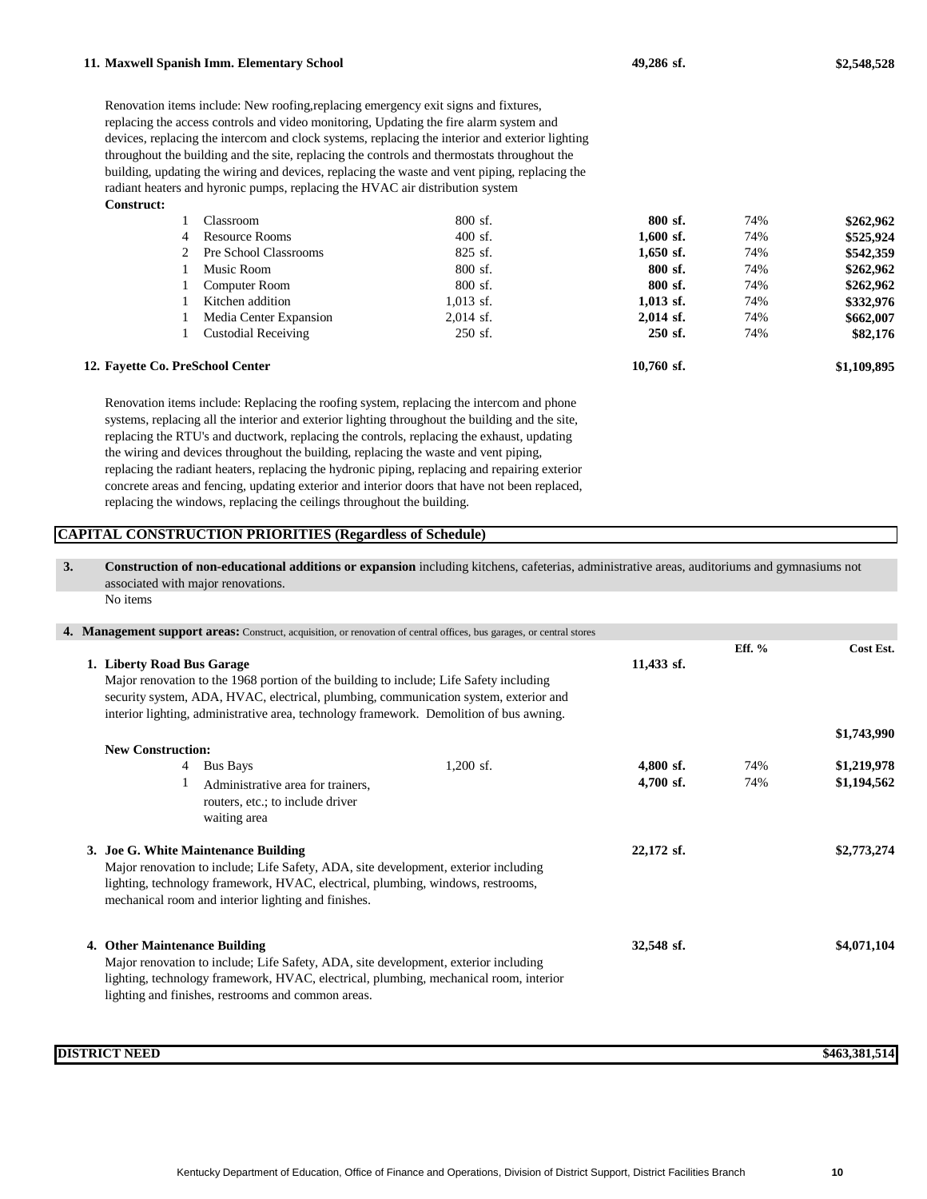#### **11. Maxwell Spanish Imm. Elementary School 49,286 sf. \$2,548,528**

**Construct:** Renovation items include: New roofing,replacing emergency exit signs and fixtures, replacing the access controls and video monitoring, Updating the fire alarm system and devices, replacing the intercom and clock systems, replacing the interior and exterior lighting throughout the building and the site, replacing the controls and thermostats throughout the building, updating the wiring and devices, replacing the waste and vent piping, replacing the radiant heaters and hyronic pumps, replacing the HVAC air distribution system

|   | Classroom              | 800 sf.     | 800 sf.     | 74% | \$262,962 |
|---|------------------------|-------------|-------------|-----|-----------|
| 4 | Resource Rooms         | $400$ sf.   | $1,600$ sf. | 74% | \$525,924 |
|   | Pre School Classrooms  | $825$ sf.   | $1,650$ sf. | 74% | \$542,359 |
|   | Music Room             | 800 sf.     | 800 sf.     | 74% | \$262,962 |
|   | Computer Room          | 800 sf.     | 800 sf.     | 74% | \$262,962 |
|   | Kitchen addition       | $1.013$ sf. | $1,013$ sf. | 74% | \$332,976 |
|   | Media Center Expansion | $2,014$ sf. | $2,014$ sf. | 74% | \$662,007 |
|   | Custodial Receiving    | $250$ sf.   | $250$ sf.   | 74% | \$82,176  |
|   |                        |             |             |     |           |

### **12. Fayette Co. PreSchool Center 10,760 sf. \$1,109,895**

Renovation items include: Replacing the roofing system, replacing the intercom and phone systems, replacing all the interior and exterior lighting throughout the building and the site, replacing the RTU's and ductwork, replacing the controls, replacing the exhaust, updating the wiring and devices throughout the building, replacing the waste and vent piping, replacing the radiant heaters, replacing the hydronic piping, replacing and repairing exterior concrete areas and fencing, updating exterior and interior doors that have not been replaced, replacing the windows, replacing the ceilings throughout the building.

### **CAPITAL CONSTRUCTION PRIORITIES (Regardless of Schedule)**

**3. Construction of non-educational additions or expansion** including kitchens, cafeterias, administrative areas, auditoriums and gymnasiums not associated with major renovations.

No items

|  | 4. Management support areas: Construct, acquisition, or renovation of central offices, bus garages, or central stores                                                                                                                                                                                   |                          |            |                            |
|--|---------------------------------------------------------------------------------------------------------------------------------------------------------------------------------------------------------------------------------------------------------------------------------------------------------|--------------------------|------------|----------------------------|
|  | 1. Liberty Road Bus Garage<br>Major renovation to the 1968 portion of the building to include; Life Safety including<br>security system, ADA, HVAC, electrical, plumbing, communication system, exterior and<br>interior lighting, administrative area, technology framework. Demolition of bus awning. | 11,433 sf.               | Eff. $%$   | Cost Est.                  |
|  |                                                                                                                                                                                                                                                                                                         |                          |            | \$1,743,990                |
|  | <b>New Construction:</b><br>$1,200$ sf.<br><b>Bus Bays</b><br>4<br>Administrative area for trainers,<br>routers, etc.; to include driver<br>waiting area                                                                                                                                                | $4,800$ sf.<br>4,700 sf. | 74%<br>74% | \$1,219,978<br>\$1,194,562 |
|  | 3. Joe G. White Maintenance Building<br>Major renovation to include; Life Safety, ADA, site development, exterior including<br>lighting, technology framework, HVAC, electrical, plumbing, windows, restrooms,<br>mechanical room and interior lighting and finishes.                                   | 22,172 sf.               |            | \$2,773,274                |
|  | 4. Other Maintenance Building<br>Major renovation to include; Life Safety, ADA, site development, exterior including<br>lighting, technology framework, HVAC, electrical, plumbing, mechanical room, interior<br>lighting and finishes, restrooms and common areas.                                     | 32,548 sf.               |            | \$4,071,104                |

### **DISTRICT NEED \$463,381,514**